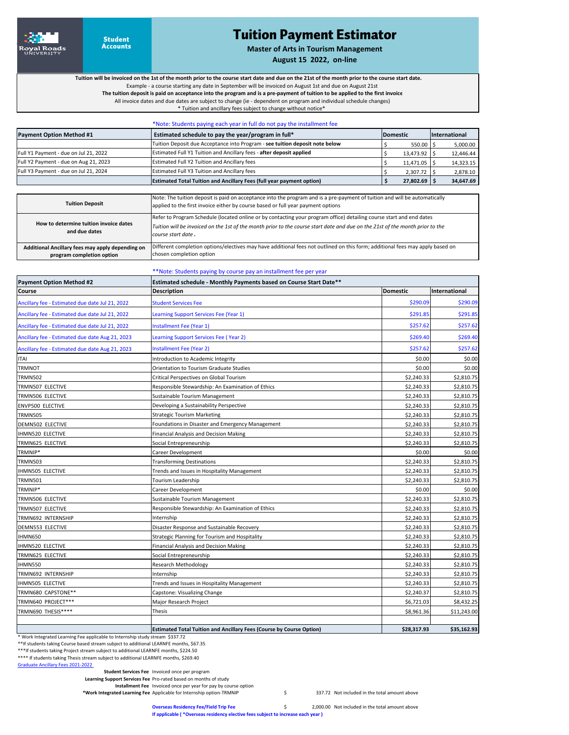

## Tuition Payment Estimator

**Master of Arts in Tourism Management**

**August 15 2022, on‐line**

**Tuition will be invoiced on the 1st of the month prior to the course start date and due on the 21st of the month prior to the course start date.**

Example ‐ a course starting any date in September will be invoiced on August 1st and due on August 21st

 **The tuition deposit is paid on acceptance into the program and is a pre‐payment of tuition to be applied to the first invoice** All invoice dates and due dates are subject to change (ie ‐ dependent on program and individual schedule changes)

\* Tuition and ancillary fees subject to change without notice\*

|                                       | *Note: Students paying each year in full do not pay the installment fee      |                 |                |                      |
|---------------------------------------|------------------------------------------------------------------------------|-----------------|----------------|----------------------|
| <b>Payment Option Method #1</b>       | Estimated schedule to pay the year/program in full*                          | <b>Domestic</b> |                | <b>International</b> |
|                                       | Tuition Deposit due Acceptance into Program - see tuition deposit note below |                 | 550.00 \$      | 5,000.00             |
| Full Y1 Payment - due on Jul 21, 2022 | Estimated Full Y1 Tuition and Ancillary fees - after deposit applied         |                 | 13,473.92 \$   | 12,446.44            |
| Full Y2 Payment - due on Aug 21, 2023 | Estimated Full Y2 Tuition and Ancillary fees                                 |                 | 11,471.05 \$   | 14,323.15            |
| Full Y3 Payment - due on Jul 21, 2024 | Estimated Full Y3 Tuition and Ancillary fees                                 |                 | 2,307.72       | 2,878.10             |
|                                       | <b>Estimated Total Tuition and Ancillary Fees (full year payment option)</b> |                 | $27,802.69$ \$ | 34,647.69            |

| <b>Tuition Deposit</b>                                                        | Note: The tuition deposit is paid on acceptance into the program and is a pre-payment of tuition and will be automatically<br>applied to the first invoice either by course based or full year payment options                                                              |
|-------------------------------------------------------------------------------|-----------------------------------------------------------------------------------------------------------------------------------------------------------------------------------------------------------------------------------------------------------------------------|
| How to determine tuition invoice dates<br>and due dates                       | Refer to Program Schedule (located online or by contacting your program office) detailing course start and end dates<br>Tuition will be invoiced on the 1st of the month prior to the course start date and due on the 21st of the month prior to the<br>course start date. |
| Additional Ancillary fees may apply depending on<br>program completion option | Different completion options/electives may have additional fees not outlined on this form; additional fees may apply based on<br>chosen completion option                                                                                                                   |

## \*\*Note: Students paying by course pay an installment fee per year

| <b>Payment Option Method #2</b>                 | Estimated schedule - Monthly Payments based on Course Start Date**          |                 |               |  |
|-------------------------------------------------|-----------------------------------------------------------------------------|-----------------|---------------|--|
| Course                                          | <b>Description</b>                                                          | <b>Domestic</b> | International |  |
| Ancillary fee - Estimated due date Jul 21, 2022 | <b>Student Services Fee</b>                                                 | \$290.09        | \$290.09      |  |
| Ancillary fee - Estimated due date Jul 21, 2022 | Learning Support Services Fee (Year 1)                                      | \$291.85        | \$291.85      |  |
| Ancillary fee - Estimated due date Jul 21, 2022 | Installment Fee (Year 1)                                                    | \$257.62        | \$257.62      |  |
| Ancillary fee - Estimated due date Aug 21, 2023 | Learning Support Services Fee (Year 2)                                      | \$269.40        | \$269.40      |  |
| Ancillary fee - Estimated due date Aug 21, 2023 | Installment Fee (Year 2)                                                    | \$257.62        | \$257.62      |  |
| <b>ITAI</b>                                     | Introduction to Academic Integrity                                          | \$0.00          | \$0.00        |  |
| <b>TRMNOT</b>                                   | Orientation to Tourism Graduate Studies                                     | \$0.00          | \$0.00        |  |
| <b>TRMN502</b>                                  | Critical Perspectives on Global Tourism                                     | \$2,240.33      | \$2,810.75    |  |
| TRMN507 ELECTIVE                                | Responsible Stewardship: An Examination of Ethics                           | \$2,240.33      | \$2,810.75    |  |
| TRMN506 ELECTIVE                                | Sustainable Tourism Management                                              | \$2,240.33      | \$2,810.75    |  |
| <b>ENVP500 ELECTIVE</b>                         | Developing a Sustainability Perspective                                     | \$2,240.33      | \$2,810.75    |  |
| <b>TRMN505</b>                                  | <b>Strategic Tourism Marketing</b>                                          | \$2,240.33      | \$2,810.75    |  |
| DEMN502 ELECTIVE                                | Foundations in Disaster and Emergency Management                            | \$2,240.33      | \$2,810.75    |  |
| <b>IHMN520 ELECTIVE</b>                         | Financial Analysis and Decision Making                                      | \$2,240.33      | \$2,810.75    |  |
| TRMN625 ELECTIVE                                | Social Entrepreneurship                                                     | \$2,240.33      | \$2,810.75    |  |
| TRMNIP*                                         | Career Development                                                          | \$0.00          | \$0.00        |  |
| <b>TRMN503</b>                                  | <b>Transforming Destinations</b>                                            | \$2,240.33      | \$2,810.75    |  |
| <b>IHMN505 ELECTIVE</b>                         | Trends and Issues in Hospitality Management                                 | \$2,240.33      | \$2,810.75    |  |
| <b>TRMN501</b>                                  | Tourism Leadership                                                          | \$2,240.33      | \$2,810.75    |  |
| TRMNIP*                                         | <b>Career Development</b>                                                   | \$0.00          | \$0.00        |  |
| TRMN506 ELECTIVE                                | Sustainable Tourism Management                                              | \$2,240.33      | \$2,810.75    |  |
| TRMN507 ELECTIVE                                | Responsible Stewardship: An Examination of Ethics                           | \$2,240.33      | \$2,810.75    |  |
| TRMN692 INTERNSHIP                              | Internship                                                                  | \$2,240.33      | \$2,810.75    |  |
| DEMN553 ELECTIVE                                | Disaster Response and Sustainable Recovery                                  | \$2,240.33      | \$2,810.75    |  |
| IHMN650                                         | Strategic Planning for Tourism and Hospitality                              | \$2,240.33      | \$2,810.75    |  |
| <b>IHMN520 ELECTIVE</b>                         | Financial Analysis and Decision Making                                      | \$2,240.33      | \$2,810.75    |  |
| TRMN625 ELECTIVE                                | Social Entrepreneurship                                                     | \$2,240.33      | \$2,810.75    |  |
| IHMN550                                         | Research Methodology                                                        | \$2,240.33      | \$2,810.75    |  |
| TRMN692 INTERNSHIP                              | Internship                                                                  | \$2,240.33      | \$2,810.75    |  |
| IHMN505 ELECTIVE                                | Trends and Issues in Hospitality Management                                 | \$2,240.33      | \$2,810.75    |  |
| TRMN680 CAPSTONE**                              | Capstone: Visualizing Change                                                | \$2,240.37      | \$2,810.75    |  |
| TRMN640 PROJECT***                              | Major Research Project                                                      | \$6,721.03      | \$8,432.25    |  |
| TRMN690 THESIS****                              | Thesis                                                                      | \$8,961.36      | \$11,243.00   |  |
|                                                 |                                                                             |                 |               |  |
|                                                 | <b>Estimated Total Tuition and Ancillary Fees (Course by Course Option)</b> | \$28,317.93     | \$35,162.93   |  |

\* Work Integrated Learning Fee applicable to Internship study stream \$337.72

\*\*If students taking Course based stream subject to additional LEARNFE months, \$67.35

\*\*\*If students taking Project stream subject to additional LEARNFE months, \$224.50 \*\*\*\* If students taking Thesis stream subject to additional LEARNFE months, \$269.40

Graduate Ancillary Fees 2021‐2022

**Student Services Fee**  Invoiced once per program

**Learning Support Services Fee** Pro‐rated based on months of study

**Installment Fee**  Invoiced once per year for pay by course option

\*Work Integrated Learning Fee Applicable for Internship option-TRMNIP **337.72** Not included in the total amount above